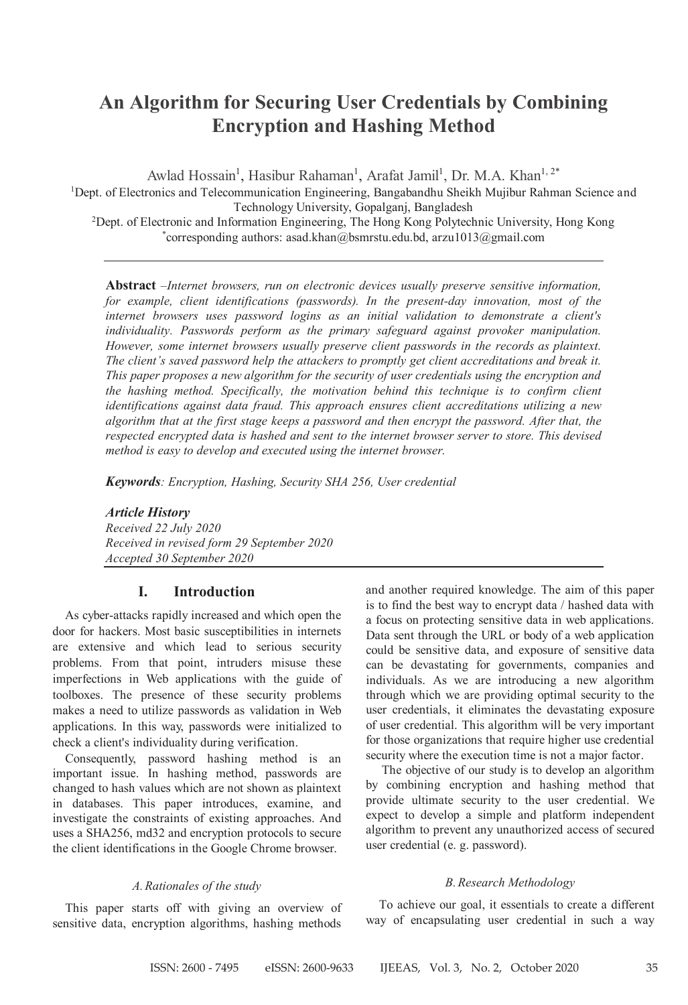# **An Algorithm for Securing User Credentials by Combining Encryption and Hashing Method**

Awlad Hossain<sup>1</sup>, Hasibur Rahaman<sup>1</sup>, Arafat Jamil<sup>1</sup>, Dr. M.A. Khan<sup>1, 2\*</sup> <sup>1</sup>Dept. of Electronics and Telecommunication Engineering, Bangabandhu Sheikh Mujibur Rahman Science and Technology University, Gopalganj, Bangladesh

2 Dept. of Electronic and Information Engineering, The Hong Kong Polytechnic University, Hong Kong \* corresponding authors: asad.khan@bsmrstu.edu.bd, arzu1013@gmail.com

**Abstract** –*Internet browsers, run on electronic devices usually preserve sensitive information, for example, client identifications (passwords). In the present-day innovation, most of the internet browsers uses password logins as an initial validation to demonstrate a client's individuality. Passwords perform as the primary safeguard against provoker manipulation. However, some internet browsers usually preserve client passwords in the records as plaintext. The client's saved password help the attackers to promptly get client accreditations and break it. This paper proposes a new algorithm for the security of user credentials using the encryption and the hashing method. Specifically, the motivation behind this technique is to confirm client identifications against data fraud. This approach ensures client accreditations utilizing a new algorithm that at the first stage keeps a password and then encrypt the password. After that, the respected encrypted data is hashed and sent to the internet browser server to store. This devised method is easy to develop and executed using the internet browser.*

*Keywords: Encryption, Hashing, Security SHA 256, User credential*

*Article History Received 22 July 2020 Received in revised form 29 September 2020 Accepted 30 September 2020*

## **I. Introduction**

As cyber-attacks rapidly increased and which open the door for hackers. Most basic susceptibilities in internets are extensive and which lead to serious security problems. From that point, intruders misuse these imperfections in Web applications with the guide of toolboxes. The presence of these security problems makes a need to utilize passwords as validation in Web applications. In this way, passwords were initialized to check a client's individuality during verification.

Consequently, password hashing method is an important issue. In hashing method, passwords are changed to hash values which are not shown as plaintext in databases. This paper introduces, examine, and investigate the constraints of existing approaches. And uses a SHA256, md32 and encryption protocols to secure the client identifications in the Google Chrome browser.

#### *A.Rationales of the study*

This paper starts off with giving an overview of sensitive data, encryption algorithms, hashing methods

and another required knowledge. The aim of this paper is to find the best way to encrypt data / hashed data with a focus on protecting sensitive data in web applications. Data sent through the URL or body of a web application could be sensitive data, and exposure of sensitive data can be devastating for governments, companies and individuals. As we are introducing a new algorithm through which we are providing optimal security to the user credentials, it eliminates the devastating exposure of user credential. This algorithm will be very important for those organizations that require higher use credential security where the execution time is not a major factor.

The objective of our study is to develop an algorithm by combining encryption and hashing method that provide ultimate security to the user credential. We expect to develop a simple and platform independent algorithm to prevent any unauthorized access of secured user credential (e. g. password).

#### *B.Research Methodology*

 To achieve our goal, it essentials to create a different way of encapsulating user credential in such a way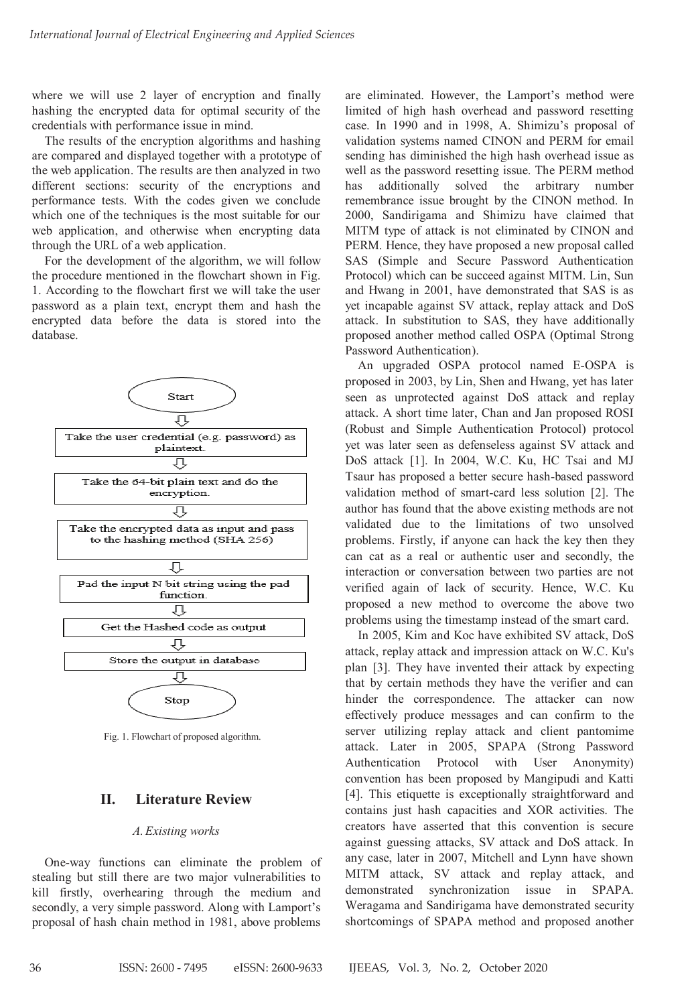where we will use 2 layer of encryption and finally where we will use 2 layer of encryption and finally hashing the encrypted data for optimal security of the credentials with performance issue in mind. credentials with performance issue in mind.

The results of the encryption algorithms and hashing are compared and displayed together with a prototype of the web application. The results are then analyzed in two different sections: security of the encryptions and performance tests. With the codes given we conclude which one of the techniques is the most suitable for our web application, and otherwise when encrypting data<br>through the URL of a web application. through the URL of a web application. the web application. The results are then analyzed in two different sections: security of the encryptions and performance tests. With the codes given we conclude which one of the techniques is the most suitable for our

For the development of the algorithm, we will follow the procedure mentioned in the flowchart shown in Fig. 1. According to the flowchart first we will take the user password as a plain text, encrypt them and hash the<br>encrypted data before the data is stored into the<br>database. encrypted data before the data is stored into the database. database. parameters as a planet them as a planet them and hash them and hash them and hash them and hash them and hash them and hash them and hash them and hash them and hash them and hash them and hash them and hash them and hash



Fig. 1. Flowchart of proposed algorithm.

#### **II. Literature Review II. Literature Review**

# *A.Existing works A.Existing works* **II. Literature Review**

One-way functions can eliminate the problem of stealing but still there are two major vulnerabilities to kill firstly, overhearing through the medium and the medium and the problem of the problem of the problem of the problem of the problem of the problem of the problem of the problem of the problem of the problem of the prob secondly, a very simple password. Along with Lamport's still the still there are two major vulnerabilities to major vulnerabilities to major vulnerabilities to major vulnerabilities to major vulnerabilities to major vulner secondly, a very simple password. Along with Lamport's<br>proposal of hash chain method in 1981, above problems are eliminated. However, the Lamport's method were are eliminated. However, the Lamport's method were limited of high hash overhead and password resetting case. In 1990 and in 1998, A. Shimizu's proposal of validation systems named CINON and PERM for email validation systems named CINON and PERM for email sending has diminished the high hash overhead issue as<br>well as the password resetting issue. The PERM method well as the password resetting issue. The PERM method has additionally solved the arbitrary number remembrance issue brought by the CINON method. In 2000. Sandirigama and Shimizu have claimed that 2000, Sandirigama and Shimizu have claimed that MITM type of attack is not eliminated by CINON and PERM. Hence, they have proposed a new proposal called SAS (Simple and Secure Password Authentication MITM type of attack is not eliminated by CINON and<br>PERM. Hence, they have proposed a new proposal called<br>SAS (Simple and Secure Password Authentication<br>Protocol) which can be succeed against MITM. Lin, Sun<br>and Hwang in 200 and Hwang in 2001, have demonstrated that SAS is as yet incapable against SV attack, replay attack and DoS attack. In substitution to SAS, they have additionally attack. In substitution to SAS, they have additionally<br>proposed another method called OSPA (Optimal Strong<br>Password Authentication). Password Authentication). 2000, Sandirigama and Shimizu have claimed that MITM type of attack is not eliminated by CINON and PERM. Hence, they have proposed a new proposal called SAS (Simple and Secure Password Authentication Protocol) which can be

An upgraded OSPA protocol named E-OSPA is proposed in 2003, by Lin, Shen and Hwang, yet has later seen as unprotected against DoS attack and replay attack. A short time later, Chan and Jan proposed ROSI (Robust and Simple Authentication Protocol) protocol yet was later seen as defenseless against SV attack and yet was later seen as defenseless against SV attack and<br>DoS attack [1]. In 2004, W.C. Ku, HC Tsai and MJ<br>Tsaur has proposed a better secure hash-based password Tsaur has proposed a better secure hash-based password validation method of smart-card less solution [2]. The validation method of smart-card less solution [2]. The<br>author has found that the above existing methods are not validated due to the limitations of two unsolved validated due to the limitations of two unsolved<br>problems. Firstly, if anyone can hack the key then they can cat as a real or authentic user and secondly, the interaction or conversation between two parties are not verified again of lack of security. Hence, W.C. Ku verified again of lack of security. Hence, W.C. Ku<br>proposed a new method to overcome the above two problems using the timestamp instead of the smart card. to overcome the above two<br>amp instead of the smart card.<br>have exhibited SV attack, DoS problems using the timestamp instead of the smart card.

In 2005, Kim and Koc have exhibited SV attack, DoS attack, replay attack and impression attack on W.C. Ku's plan [3]. They have invented their attack by expecting that by certain methods they have the verifier and can hinder the correspondence. The attacker can now plan [3]. They have invented their attack by expecting<br>that by certain methods they have the verifier and can<br>hinder the correspondence. The attacker can now<br>effectively produce messages and can confirm to the server utilizing replay attack and client pantomime attack. Later in 2005, SPAPA (Strong Password Authentication Protocol with User Anonymity) convention has been proposed by Mangipudi and Katti [4]. This etiquette is exceptionally straightforward and contains just hash capacities and XOR activities. The creators have asserted that this convention is secure against guessing attacks, SV attack and DoS attack. In any case, later in 2007, Mitchell and Lynn have shown MITM attack, SV attack and replay attack, and MITM attack, SV attack and replay attack, and demonstrated synchronization issue in SPAPA.<br>Weragama and Sandirigama have demonstrated security Weragama and Sandirigama have demonstrated security shortcomings of SPAPA method and proposed another server utilizing replay attack and client pantomime<br>attack. Later in 2005, SPAPA (Strong Password<br>Authentication Protocol with User Anonymity)<br>convention has been proposed by Mangipudi and Katti<br>[4]. This etiquette is exce convention has been proposed by Mangipudi and Katti Authentication Protocol with User Anonymity)<br>convention has been proposed by Mangipudi and Katti<br>[4]. This etiquette is exceptionally straightforward and<br>contains just hash capacities and XOR activities. The any case, later in 2007, Mitchell and Lynn have shown<br>MITM attack, SV attack and replay attack, and<br>demonstrated synchronization issue in SPAPA.

shortcomings of SPAPA method and proposed another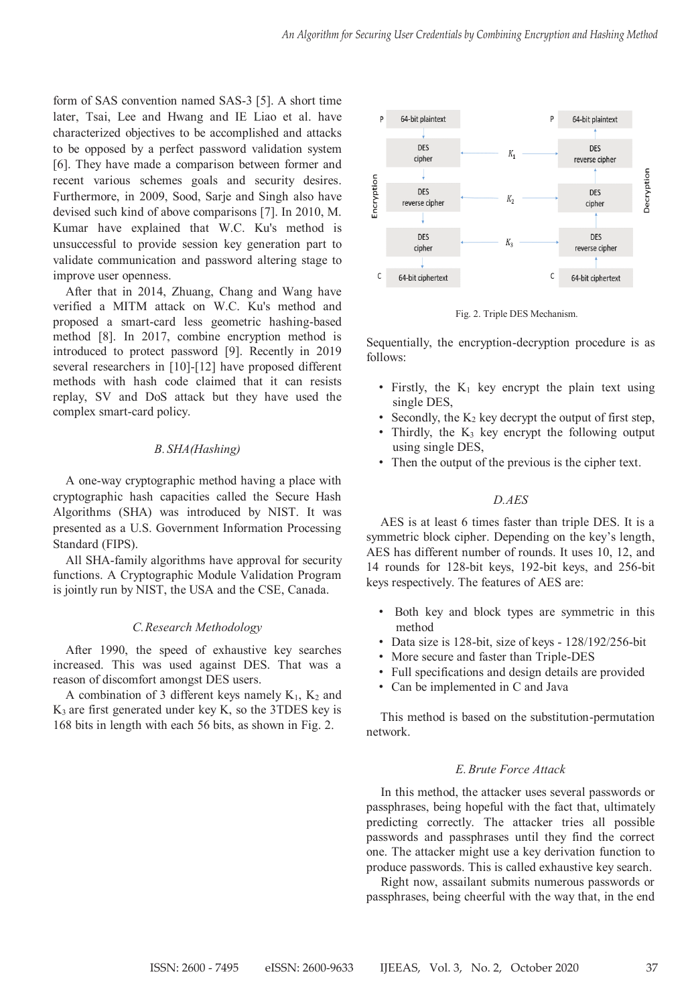form of SAS convention named SAS-3 [5]. A short time later, Tsai, Lee and Hwang and IE Liao et al. have characterized objectives to be accomplished and attacks to be opposed by a perfect password validation system [6]. They have made a comparison between former and recent various schemes goals and security desires. Furthermore, in 2009, Sood, Sarje and Singh also have devised such kind of above comparisons [7]. In 2010, M. Kumar have explained that W.C. Ku's method is unsuccessful to provide session key generation part to validate communication and password altering stage to improve user openness.

After that in 2014, Zhuang, Chang and Wang have verified a MITM attack on W.C. Ku's method and proposed a smart-card less geometric hashing-based method [8]. In 2017, combine encryption method is introduced to protect password [9]. Recently in 2019 several researchers in [10]-[12] have proposed different methods with hash code claimed that it can resists replay, SV and DoS attack but they have used the complex smart-card policy.

### *B. SHA(Hashing)*

A one-way cryptographic method having a place with cryptographic hash capacities called the Secure Hash Algorithms (SHA) was introduced by NIST. It was presented as a U.S. Government Information Processing Standard (FIPS).

All SHA-family algorithms have approval for security functions. A Cryptographic Module Validation Program is jointly run by NIST, the USA and the CSE, Canada.

#### *C.Research Methodology*

After 1990, the speed of exhaustive key searches increased. This was used against DES. That was a reason of discomfort amongst DES users.

A combination of 3 different keys namely  $K_1$ ,  $K_2$  and  $K<sub>3</sub>$  are first generated under key K, so the 3TDES key is 168 bits in length with each 56 bits, as shown in Fig. 2.



Fig. 2. Triple DES Mechanism.

Sequentially, the encryption-decryption procedure is as follows:

- Firstly, the  $K_1$  key encrypt the plain text using single DES,
- Secondly, the  $K_2$  key decrypt the output of first step,
- Thirdly, the  $K_3$  key encrypt the following output using single DES,
- Then the output of the previous is the cipher text.

#### *D.AES*

AES is at least 6 times faster than triple DES. It is a symmetric block cipher. Depending on the key's length, AES has different number of rounds. It uses 10, 12, and 14 rounds for 128-bit keys, 192-bit keys, and 256-bit keys respectively. The features of AES are:

- Both key and block types are symmetric in this method
- Data size is 128-bit, size of keys 128/192/256-bit
- More secure and faster than Triple-DES
- Full specifications and design details are provided
- Can be implemented in C and Java

This method is based on the substitution-permutation network.

#### *E.Brute Force Attack*

In this method, the attacker uses several passwords or passphrases, being hopeful with the fact that, ultimately predicting correctly. The attacker tries all possible passwords and passphrases until they find the correct one. The attacker might use a key derivation function to produce passwords. This is called exhaustive key search.

Right now, assailant submits numerous passwords or passphrases, being cheerful with the way that, in the end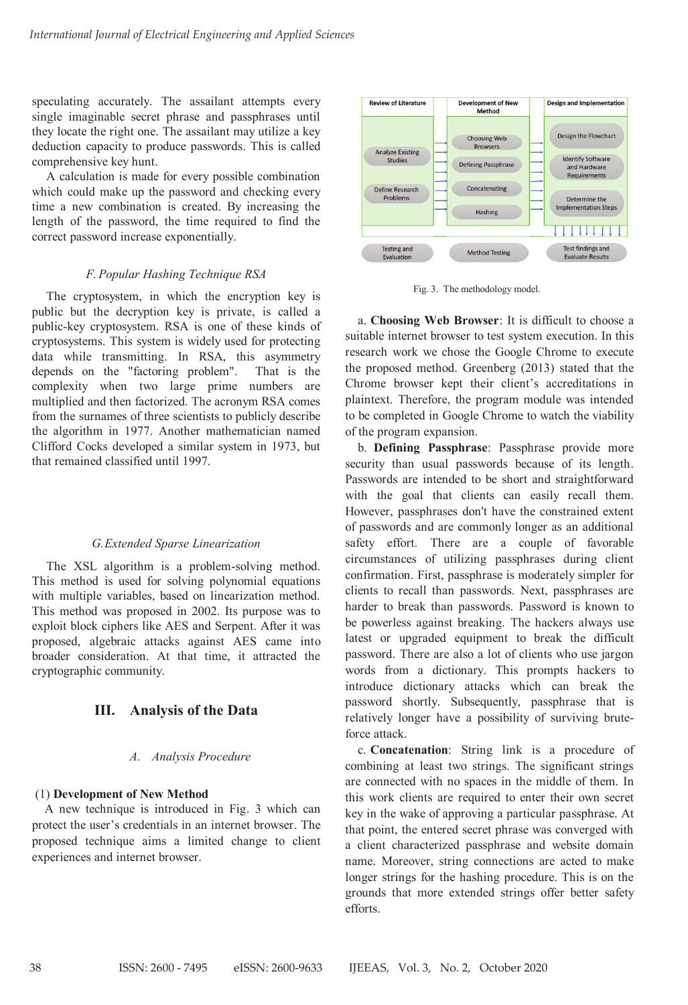speculating accurately. The assailant attempts every single imaginable secret phrase and passphrases until they locate the right one. The assailant may utilize a key deduction capacity to produce passwords. This is called comprehensive key hunt.

A calculation is made for every possible combination which could make up the password and checking every time a new combination is created. By increasing the length of the password, the time required to find the correct password increase exponentially.

#### *F. Popular Hashing Technique RSA*

The cryptosystem, in which the encryption key is public but the decryption key is private, is called a public-key cryptosystem. RSA is one of these kinds of cryptosystems. This system is widely used for protecting data while transmitting. In RSA, this asymmetry depends on the "factoring problem". That is the complexity when two large prime numbers are multiplied and then factorized. The acronym RSA comes from the surnames of three scientists to publicly describe the algorithm in 1977. Another mathematician named Clifford Cocks developed a similar system in 1973, but that remained classified until 1997.

#### *G.Extended Sparse Linearization*

The XSL algorithm is a problem-solving method. This method is used for solving polynomial equations with multiple variables, based on linearization method. This method was proposed in 2002. Its purpose was to exploit block ciphers like AES and Serpent. After it was proposed, algebraic attacks against AES came into broader consideration. At that time, it attracted the cryptographic community.

# **III. Analysis of the Data**

#### *A. Analysis Procedure*

#### (1) **Development of New Method**

A new technique is introduced in Fig. 3 which can protect the user's credentials in an internet browser. The proposed technique aims a limited change to client experiences and internet browser.



Fig. 3. The methodology model.

a. **Choosing Web Browser**: It is difficult to choose a suitable internet browser to test system execution. In this research work we chose the Google Chrome to execute the proposed method. Greenberg (2013) stated that the Chrome browser kept their client's accreditations in plaintext. Therefore, the program module was intended to be completed in Google Chrome to watch the viability of the program expansion.

b. **Defining Passphrase**: Passphrase provide more security than usual passwords because of its length. Passwords are intended to be short and straightforward with the goal that clients can easily recall them. However, passphrases don't have the constrained extent of passwords and are commonly longer as an additional safety effort. There are a couple of favorable circumstances of utilizing passphrases during client confirmation. First, passphrase is moderately simpler for clients to recall than passwords. Next, passphrases are harder to break than passwords. Password is known to be powerless against breaking. The hackers always use latest or upgraded equipment to break the difficult password. There are also a lot of clients who use jargon words from a dictionary. This prompts hackers to introduce dictionary attacks which can break the password shortly. Subsequently, passphrase that is relatively longer have a possibility of surviving bruteforce attack.

c. **Concatenation**: String link is a procedure of combining at least two strings. The significant strings are connected with no spaces in the middle of them. In this work clients are required to enter their own secret key in the wake of approving a particular passphrase. At that point, the entered secret phrase was converged with a client characterized passphrase and website domain name. Moreover, string connections are acted to make longer strings for the hashing procedure. This is on the grounds that more extended strings offer better safety efforts.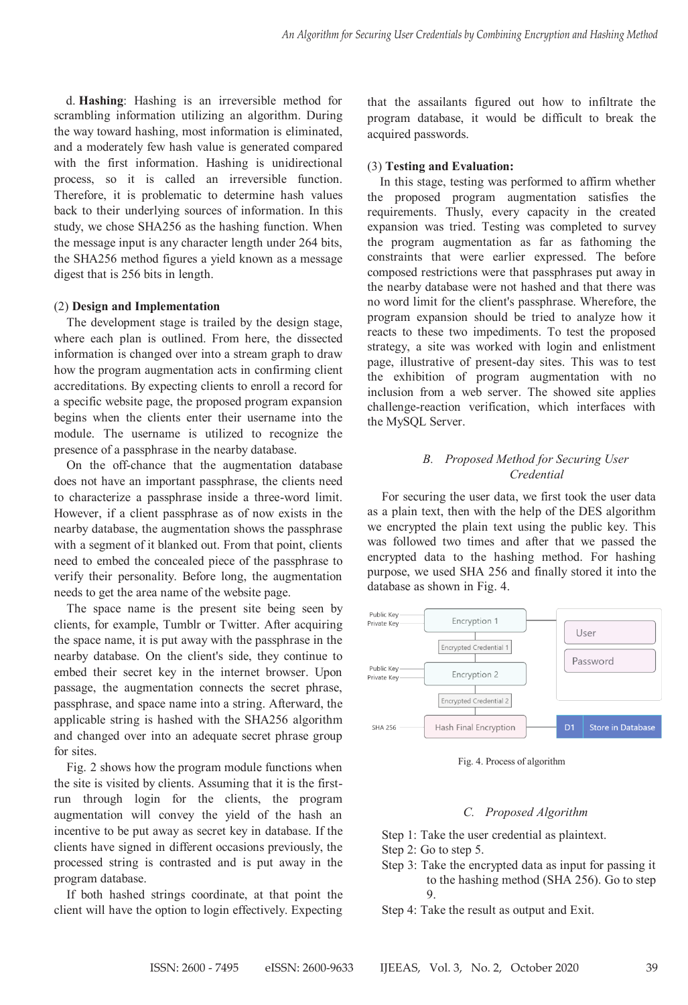scrambling information utilizing an algorithm. During the way toward hashing, most information is eliminated, and a moderately few hash value is generated compared and a metallicity of the first information. Hashing is unidirectional process, so it is called an irreversible function. Therefore, it is problematic to determine hash values back to their underlying sources of information. In this study, we chose SHA256 as the hashing function. When the message input is any character length under 264 bits, the SHA256 method figures a yield known as a message digest that is 256 bits in length. d. Hashing: Hashing is an irreversible method for

# (2) **Design and Implementation**

The development stage is trailed by the design stage, where each plan is outlined. From here, the dissected information is changed over into a stream graph to draw how the program augmentation acts in confirming client accreditations. By expecting clients to enroll a record for a specific website page, the proposed program expansion begins when the clients enter their username into the module. The username is utilized to recognize the presence of a passphrase in the nearby database.

On the off-chance that the augmentation database does not have an important passphrase, the clients need to characterize a passphrase inside a three-word limit. However, if a client passphrase as of now exists in the nearby database, the augmentation shows the passphrase with a segment of it blanked out. From that point, clients need to embed the concealed piece of the passphrase to verify their personality. Before long, the augmentation needs to get the area name of the website page.

The space name is the present site being seen by clients, for example, Tumblr or Twitter. After acquiring the space name, it is put away with the passphrase in the nearby database. On the client's side, they continue to embed their secret key in the internet browser. Upon passage, the augmentation connects the secret phrase, passphrase, and space name into a string. Afterward, the applicable string is hashed with the SHA256 algorithm and changed over into an adequate secret phrase group for sites.  $f$  sites.

Fig. 2 shows how the program module functions when the site is visited by clients. Assuming that it is the firstrun through login for the clients, the program augmentation will convey the yield of the hash an incentive to be put away as secret key in database. If the clients have signed in different occasions previously, the processed string is contrasted and is put away in the program database.

If both hashed strings coordinate, at that point the client will have the option to login effectively. Expecting

program database, it would be difficult to break the acquired passwords. that the assailants figured out how to infiltrate the

#### (3) **Testing and Evaluation:**

In this stage, testing was performed to affirm whether the proposed program augmentation satisfies the requirements. Thusly, every capacity in the created expansion was tried. Testing was completed to survey the program augmentation as far as fathoming the constraints that were earlier expressed. The before composed restrictions were that passphrases put away in the nearby database were not hashed and that there was no word limit for the client's passphrase. Wherefore, the program expansion should be tried to analyze how it reacts to these two impediments. To test the proposed strategy, a site was worked with login and enlistment page, illustrative of present-day sites. This was to test the exhibition of program augmentation with no inclusion from a web server. The showed site applies challenge-reaction verification, which interfaces with the MySQL Server.

### *B. Proposed Method for Securing User Credential B. Proposed Method for Securing User*

*Credential* For securing the user data, we first took the user data as a plain text, then with the help of the DES algorithm we encrypted the plain text using the public key. This was followed two times and after that we passed the encrypted data to the hashing method. For hashing purpose, we used SHA 256 and finally stored it into the database as shown in Fig. 4.



Fig. 4. Process of algorithm

#### *C. Proposed Algorithm*

**Craparent Algorithm** Step 1: Take the user credential as plaintext. Step 2: Go to step 5.

Step 3: Take the encrypted data as input for passing it to the hashing method (SHA 256). Go to step  $\overline{9}$ . 9.

Step 4: Take the result as output and Exit.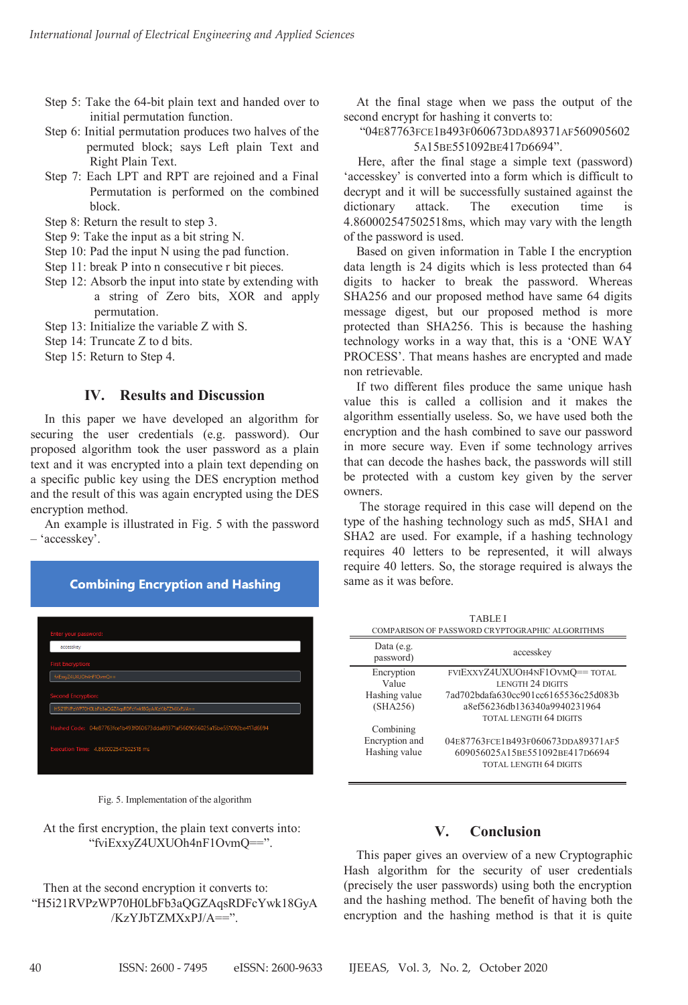- Step 5: Take the 64-bit plain text and handed over to Figure 1. The contract of the permutation function.
- Step 6: Initial permutation produces two halves of the permuted block; says Left plain Text and Right Plain Text.
- Step 7: Each LPT and RPT are rejoined and a Final Representation is performed on the combined Permutation is performed on the combined Permutation is performed on the combined block. block.  $S$   $\frac{1}{2}$   $\frac{1}{2}$   $\frac{1}{2}$   $\frac{1}{2}$   $\frac{1}{2}$   $\frac{1}{2}$   $\frac{1}{2}$   $\frac{1}{2}$   $\frac{1}{2}$   $\frac{1}{2}$   $\frac{1}{2}$   $\frac{1}{2}$   $\frac{1}{2}$   $\frac{1}{2}$   $\frac{1}{2}$   $\frac{1}{2}$   $\frac{1}{2}$   $\frac{1}{2}$   $\frac{1}{2}$   $\frac{1}{2}$   $\frac{1}{2}$   $\frac{1}{2$ 
	- Step 8: Return the result to step 3.
	- Step 9: Take the input as a bit string N.
	- Step 10: Pad the input  $N$  using the pad function.
	- $Step 11: break P into n consecutive r bit pieces.$
	- $S$ tep 12: Absorb the input into state by extending with a string of Zero bits, XOR and apply a string of Exercise, 1131
	- Step 13: Initialize the variable Z with S.
	- Step 14: Truncate Z to d bits.
	- Step 15: Return to Step 4. Step 15: Return to Step 4.

# **IV.** Results and Discussion

In this paper we have developed an algorithm for mediate the user credentials (e.g. password). Our proposed algorithm took the user password as a plain<br>text and it was encrypted into a plain text depending on<br>a specific public key using the DES encryption method<br>and the result of this was again encrypted using the DES text and it was encrypted into a plain text depending on text and it was encrypted into a plain text depending on a specific public key using the DES encryption method a specific public key using the DES encryption method and the result of this was again encrypted using the DES and the result of this was again encrypted using the DES encryption method. encryption method.  $A$  is the countries in Fig. 5 with the password  $\mathcal{L}_{\text{F}}$  with the password particle in  $\mathcal{L}_{\text{F}}$ 

An example is illustrated in Fig. 5 with the password – 'accesskey'. – 'accesskey'.

| accesskey                 |                                                          |
|---------------------------|----------------------------------------------------------|
| <b>First Encryption:</b>  |                                                          |
|                           | fviExxyZ4UXUOh4nF1OvmQ==                                 |
|                           |                                                          |
| <b>Second Encryption:</b> | H5i21RVPzWP70H0LbFb3aQGZAqsRDFcYwk18GyA/KzYJbTZMXxPJ/A== |



At the first encryption, the plain text converts into: "fviExxyZ4UXUOh4nF1OvmQ==". "fviExxyZ4UXUOh4nF1OvmQ==".

Then at the second encryption it converts to: "H5i21RVPzWP70H0LbFb3aQGZAqsRDFcYwk18GyA "H5i21RVPzWP70H0LbFb3aQGZAqsRDFcYwk18GyA /KzYJbTZMXxPJ/A==". /KzYJbTZMXxPJ/A==". /KzYJbTZMXxPJ/A==". Then at the second encryption it converts to: At the final stage when we pass the output of the second encrypt for hashing it converts to:

# "04E87763FCE1B493F060673DDA89371AF560905602 "04E87763FCE1B493F060673DDA89371AF560905602 5A15BE551092BE417D6694".  $5A15BE551092BE417D6694"$ .

Here, after the final stage a simple text (password) 'accesskey' is converted into a form which is difficult to 'accesskey' is converted into a form which is difficult to  $decr$ decrypt and it will be successfully sustained against the decrypt and it will be successfully sustained against the dictionary attack. The execution time except may be considered and the considered in the securities of the distribution of the securities in the password is used.<br>4.860002547502518ms, which may vary with the length of the password is used. is dictionary attack. The execution time is

Based on given information in Table I the encryption data length is 24 digits which is less protected than 64 and single is a straight method in the password. Whereas digits to hacker to break the password. Whereas SHA256 and our proposed method have same 64 digits<br>SHA256 and our proposed method have same 64 digits<br>message digest, but our proposed method is more message digest, but our proposed method is more message digest, but our proposed method is more protected than SHA256. This is because the hashing<br>technology works in a way that this is a 'ONE WAY technology works in a way that, this is a 'ONE WAY technology works in a way that, this is a 'ONE WAY PROCESS'. That means hashes are encrypted and made non retrievable. non retrievable. value the final stage when we pass the output of the final stage when we pass the output of initial permutation from<br>cions scale of the scale of the science of the makes the results of the makes the collision and the state If two different files produce the same unique hashes in the same.<br>In retrievable

If two different files produce the same unique hash value this is called a collision and it makes the algorithm essentially useless. So, we have used both the encryption and the hash combined to save our password encryption and the hash combined to save our password in more secure way. Even if some technology arrives in more secure way. Even if some technology arrives that can decode the hashes back, the passwords will still that can decode the hashes back, the passwords will still be protected with a custom key given by the server be protected with a custom key given by the server owners. owners. in more secure way. Even if some technology arrives that can decode the hashes back, the passwords will still be protected with a custom key given by the server  $T_{\text{max}}$  required in the storage  $T_{\text{max}}$  and  $T_{\text{max}}$ 

The storage required in this case will depend on the The storage required in this case will depend on the type of the hashing technology such as md5, SHA1 and type of the hashing technology such as md5, SHA1 and SHA2 are used. For example, if a hashing technology SHA2 are used. For example, if a hashing technology requires 40 letters to be represented, it will always requires 40 letters to be represented, it will always require 40 letters. So, the storage required is always the require 40 letters. So, the storage required is always the same as it was before. same as it was before. The storage required in this case will depend on the<br>type of the hashing technology such as md5, SHA1 and<br>SHA2 are used. For example, if a hashing technology<br>requires 40 letters to be represented, it will always<br>requires 4

| <b>TABLEI</b>                                   |                                      |  |
|-------------------------------------------------|--------------------------------------|--|
| COMPARISON OF PASSWORD CRYPTOGRAPHIC ALGORITHMS |                                      |  |
| Data (e.g.<br>password)                         | accesskey                            |  |
| Encryption                                      | FVIEXXYZ4UXUOH4NF1OVMQ==TOTAL        |  |
| Value                                           | <b>LENGTH 24 DIGITS</b>              |  |
| Hashing value                                   | 7ad702bdafa630cc901cc6165536c25d083b |  |
| (SHA256)                                        | a8ef56236db136340a9940231964         |  |
|                                                 | <b>TOTAL LENGTH 64 DIGITS</b>        |  |
| Combining                                       |                                      |  |
| Encryption and                                  | 04E87763FCE1B493F060673DDA89371AF5   |  |
| Hashing value                                   | 609056025A15BE551092BE417D6694       |  |
|                                                 | <b>TOTAL LENGTH 64 DIGITS</b>        |  |
|                                                 |                                      |  |

# **V. Conclusion**

TOTAL LENGTH 64 DIGITS OF REAL PROPERTY.

**V. Conclusion V. Conclusion** This paper gives an overview of a new Cryptographic ash algorithm for the security of user credentials  $(h_1, h_2)$  (precisely the user passwords) using both the encryption and the hashing method. The benefit of having both the encryption and the hashing method is that it is quite Hash algorithm for the security of user credentials (precisely the user passwords) using both the encryption and the hashing method. The benefit of having both the